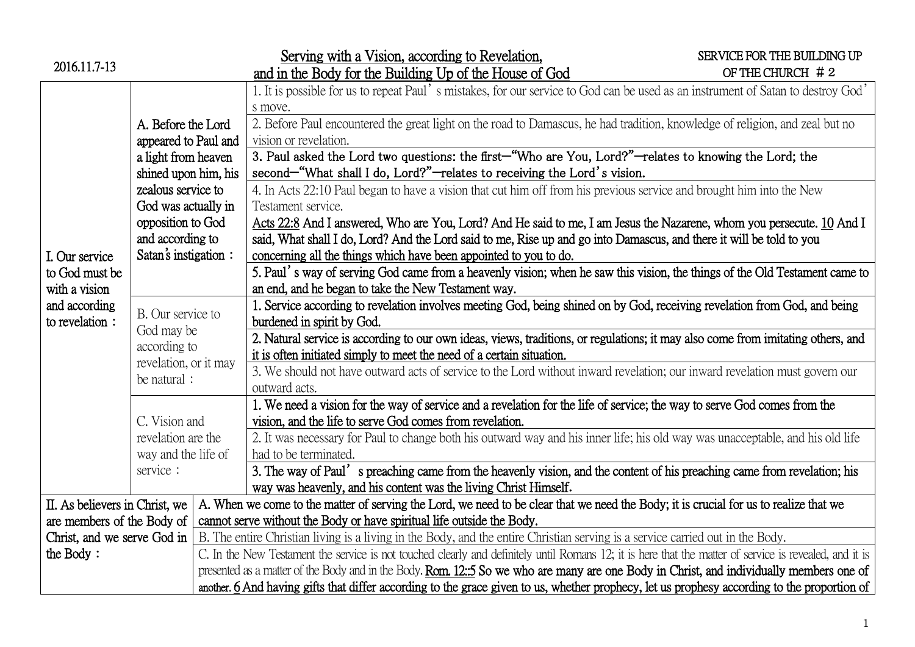| 2016.11.7-13                   |                                                                                                                 |  | Serving with a Vision, according to Revelation,                                                                                                         | SERVICE FOR THE BUILDING UP |  |  |  |
|--------------------------------|-----------------------------------------------------------------------------------------------------------------|--|---------------------------------------------------------------------------------------------------------------------------------------------------------|-----------------------------|--|--|--|
|                                |                                                                                                                 |  | and in the Body for the Building Up of the House of God                                                                                                 | OF THE CHURCH $# 2$         |  |  |  |
|                                |                                                                                                                 |  | 1. It is possible for us to repeat Paul's mistakes, for our service to God can be used as an instrument of Satan to destroy God'                        |                             |  |  |  |
|                                |                                                                                                                 |  | s move.                                                                                                                                                 |                             |  |  |  |
|                                | A. Before the Lord<br>appeared to Paul and<br>a light from heaven<br>shined upon him, his<br>zealous service to |  | 2. Before Paul encountered the great light on the road to Damascus, he had tradition, knowledge of religion, and zeal but no                            |                             |  |  |  |
|                                |                                                                                                                 |  | vision or revelation.                                                                                                                                   |                             |  |  |  |
|                                |                                                                                                                 |  | 3. Paul asked the Lord two questions: the first-"Who are You, Lord?"-relates to knowing the Lord; the                                                   |                             |  |  |  |
|                                |                                                                                                                 |  | second—"What shall I do, Lord?"—relates to receiving the Lord's vision.                                                                                 |                             |  |  |  |
|                                |                                                                                                                 |  | 4. In Acts 22:10 Paul began to have a vision that cut him off from his previous service and brought him into the New                                    |                             |  |  |  |
| I. Our service                 | God was actually in                                                                                             |  | Testament service.                                                                                                                                      |                             |  |  |  |
|                                | opposition to God                                                                                               |  | Acts 22:8 And I answered, Who are You, Lord? And He said to me, I am Jesus the Nazarene, whom you persecute. 10 And I                                   |                             |  |  |  |
|                                | and according to                                                                                                |  | said, What shall I do, Lord? And the Lord said to me, Rise up and go into Damascus, and there it will be told to you                                    |                             |  |  |  |
|                                | Satan's instigation :                                                                                           |  | concerning all the things which have been appointed to you to do.                                                                                       |                             |  |  |  |
| to God must be                 |                                                                                                                 |  | 5. Paul's way of serving God came from a heavenly vision; when he saw this vision, the things of the Old Testament came to                              |                             |  |  |  |
| with a vision                  |                                                                                                                 |  | an end, and he began to take the New Testament way.                                                                                                     |                             |  |  |  |
| and according                  |                                                                                                                 |  | 1. Service according to revelation involves meeting God, being shined on by God, receiving revelation from God, and being                               |                             |  |  |  |
| to revelation:                 | B. Our service to<br>God may be<br>according to<br>revelation, or it may<br>be natural :                        |  | burdened in spirit by God.                                                                                                                              |                             |  |  |  |
|                                |                                                                                                                 |  | 2. Natural service is according to our own ideas, views, traditions, or regulations; it may also come from imitating others, and                        |                             |  |  |  |
|                                |                                                                                                                 |  | it is often initiated simply to meet the need of a certain situation.                                                                                   |                             |  |  |  |
|                                |                                                                                                                 |  | 3. We should not have outward acts of service to the Lord without inward revelation; our inward revelation must govern our                              |                             |  |  |  |
|                                |                                                                                                                 |  | outward acts.                                                                                                                                           |                             |  |  |  |
|                                |                                                                                                                 |  | 1. We need a vision for the way of service and a revelation for the life of service; the way to serve God comes from the                                |                             |  |  |  |
|                                | C. Vision and<br>revelation are the<br>way and the life of<br>service :                                         |  | vision, and the life to serve God comes from revelation.                                                                                                |                             |  |  |  |
|                                |                                                                                                                 |  | 2. It was necessary for Paul to change both his outward way and his inner life; his old way was unacceptable, and his old life                          |                             |  |  |  |
|                                |                                                                                                                 |  | had to be terminated.                                                                                                                                   |                             |  |  |  |
|                                |                                                                                                                 |  | 3. The way of Paul's preaching came from the heavenly vision, and the content of his preaching came from revelation; his                                |                             |  |  |  |
|                                |                                                                                                                 |  | way was heavenly, and his content was the living Christ Himself.                                                                                        |                             |  |  |  |
| II. As believers in Christ, we |                                                                                                                 |  | A. When we come to the matter of serving the Lord, we need to be clear that we need the Body; it is crucial for us to realize that we                   |                             |  |  |  |
| are members of the Body of     |                                                                                                                 |  | cannot serve without the Body or have spiritual life outside the Body.                                                                                  |                             |  |  |  |
| Christ, and we serve God in    |                                                                                                                 |  | B. The entire Christian living is a living in the Body, and the entire Christian serving is a service carried out in the Body.                          |                             |  |  |  |
| the Body:                      |                                                                                                                 |  | C. In the New Testament the service is not touched clearly and definitely until Romans 12; it is here that the matter of service is revealed, and it is |                             |  |  |  |
|                                |                                                                                                                 |  | presented as a matter of the Body and in the Body. Rom. 12::5 So we who are many are one Body in Christ, and individually members one of                |                             |  |  |  |
|                                |                                                                                                                 |  | another. 6 And having gifts that differ according to the grace given to us, whether prophecy, let us prophesy according to the proportion of            |                             |  |  |  |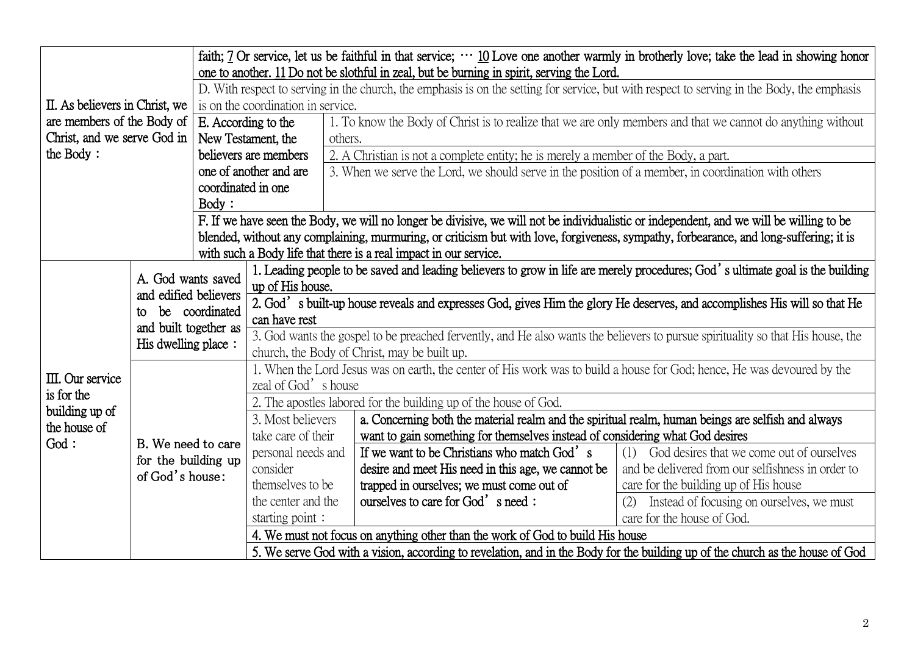| II. As believers in Christ, we                         |                                                                                                                     | faith; 7 Or service, let us be faithful in that service; $\cdots$ 10 Love one another warmly in brotherly love; take the lead in showing honor<br>one to another. 11 Do not be slothful in zeal, but be burning in spirit, serving the Lord. |                                                                                                                                                                                 |                                                                                                             |                                                   |  |  |
|--------------------------------------------------------|---------------------------------------------------------------------------------------------------------------------|----------------------------------------------------------------------------------------------------------------------------------------------------------------------------------------------------------------------------------------------|---------------------------------------------------------------------------------------------------------------------------------------------------------------------------------|-------------------------------------------------------------------------------------------------------------|---------------------------------------------------|--|--|
|                                                        |                                                                                                                     | D. With respect to serving in the church, the emphasis is on the setting for service, but with respect to serving in the Body, the emphasis                                                                                                  |                                                                                                                                                                                 |                                                                                                             |                                                   |  |  |
|                                                        |                                                                                                                     | is on the coordination in service.                                                                                                                                                                                                           |                                                                                                                                                                                 |                                                                                                             |                                                   |  |  |
| are members of the Body of $\vert$ E. According to the |                                                                                                                     |                                                                                                                                                                                                                                              |                                                                                                                                                                                 | 1. To know the Body of Christ is to realize that we are only members and that we cannot do anything without |                                                   |  |  |
| Christ, and we serve God in                            |                                                                                                                     | New Testament, the                                                                                                                                                                                                                           |                                                                                                                                                                                 | others.                                                                                                     |                                                   |  |  |
| the Body:                                              |                                                                                                                     | believers are members                                                                                                                                                                                                                        |                                                                                                                                                                                 | 2. A Christian is not a complete entity; he is merely a member of the Body, a part.                         |                                                   |  |  |
|                                                        |                                                                                                                     | one of another and are                                                                                                                                                                                                                       |                                                                                                                                                                                 | 3. When we serve the Lord, we should serve in the position of a member, in coordination with others         |                                                   |  |  |
|                                                        |                                                                                                                     | coordinated in one                                                                                                                                                                                                                           |                                                                                                                                                                                 |                                                                                                             |                                                   |  |  |
|                                                        |                                                                                                                     | Body:                                                                                                                                                                                                                                        |                                                                                                                                                                                 |                                                                                                             |                                                   |  |  |
|                                                        |                                                                                                                     |                                                                                                                                                                                                                                              | F. If we have seen the Body, we will no longer be divisive, we will not be individualistic or independent, and we will be willing to be                                         |                                                                                                             |                                                   |  |  |
|                                                        |                                                                                                                     |                                                                                                                                                                                                                                              | blended, without any complaining, murmuring, or criticism but with love, forgiveness, sympathy, forbearance, and long-suffering; it is                                          |                                                                                                             |                                                   |  |  |
|                                                        |                                                                                                                     | with such a Body life that there is a real impact in our service.                                                                                                                                                                            |                                                                                                                                                                                 |                                                                                                             |                                                   |  |  |
|                                                        |                                                                                                                     |                                                                                                                                                                                                                                              | 1. Leading people to be saved and leading believers to grow in life are merely procedures; God's ultimate goal is the building                                                  |                                                                                                             |                                                   |  |  |
|                                                        | A. God wants saved<br>and edified believers<br>be coordinated<br>to<br>and built together as<br>His dwelling place: |                                                                                                                                                                                                                                              | up of His house.                                                                                                                                                                |                                                                                                             |                                                   |  |  |
|                                                        |                                                                                                                     |                                                                                                                                                                                                                                              | 2. God's built-up house reveals and expresses God, gives Him the glory He deserves, and accomplishes His will so that He                                                        |                                                                                                             |                                                   |  |  |
|                                                        |                                                                                                                     |                                                                                                                                                                                                                                              | can have rest                                                                                                                                                                   |                                                                                                             |                                                   |  |  |
|                                                        |                                                                                                                     |                                                                                                                                                                                                                                              | 3. God wants the gospel to be preached fervently, and He also wants the believers to pursue spirituality so that His house, the<br>church, the Body of Christ, may be built up. |                                                                                                             |                                                   |  |  |
|                                                        |                                                                                                                     |                                                                                                                                                                                                                                              | 1. When the Lord Jesus was on earth, the center of His work was to build a house for God; hence, He was devoured by the                                                         |                                                                                                             |                                                   |  |  |
| III. Our service                                       |                                                                                                                     |                                                                                                                                                                                                                                              | zeal of God's house                                                                                                                                                             |                                                                                                             |                                                   |  |  |
| is for the                                             |                                                                                                                     |                                                                                                                                                                                                                                              | 2. The apostles labored for the building up of the house of God.                                                                                                                |                                                                                                             |                                                   |  |  |
| building up of<br>the house of                         | B. We need to care                                                                                                  |                                                                                                                                                                                                                                              | 3. Most believers                                                                                                                                                               | a. Concerning both the material realm and the spiritual realm, human beings are selfish and always          |                                                   |  |  |
| God:                                                   |                                                                                                                     |                                                                                                                                                                                                                                              | take care of their                                                                                                                                                              | want to gain something for themselves instead of considering what God desires                               |                                                   |  |  |
|                                                        | for the building up                                                                                                 |                                                                                                                                                                                                                                              | personal needs and                                                                                                                                                              | If we want to be Christians who match God's                                                                 | (1) God desires that we come out of ourselves     |  |  |
|                                                        | of God's house:                                                                                                     |                                                                                                                                                                                                                                              | consider                                                                                                                                                                        | desire and meet His need in this age, we cannot be                                                          | and be delivered from our selfishness in order to |  |  |
|                                                        |                                                                                                                     |                                                                                                                                                                                                                                              | themselves to be                                                                                                                                                                | trapped in ourselves; we must come out of                                                                   | care for the building up of His house             |  |  |
|                                                        |                                                                                                                     |                                                                                                                                                                                                                                              | the center and the                                                                                                                                                              | ourselves to care for God's need:                                                                           | Instead of focusing on ourselves, we must<br>(2)  |  |  |
|                                                        |                                                                                                                     |                                                                                                                                                                                                                                              | starting point:                                                                                                                                                                 |                                                                                                             | care for the house of God.                        |  |  |
|                                                        |                                                                                                                     |                                                                                                                                                                                                                                              | 4. We must not focus on anything other than the work of God to build His house                                                                                                  |                                                                                                             |                                                   |  |  |
|                                                        |                                                                                                                     |                                                                                                                                                                                                                                              | 5. We serve God with a vision, according to revelation, and in the Body for the building up of the church as the house of God                                                   |                                                                                                             |                                                   |  |  |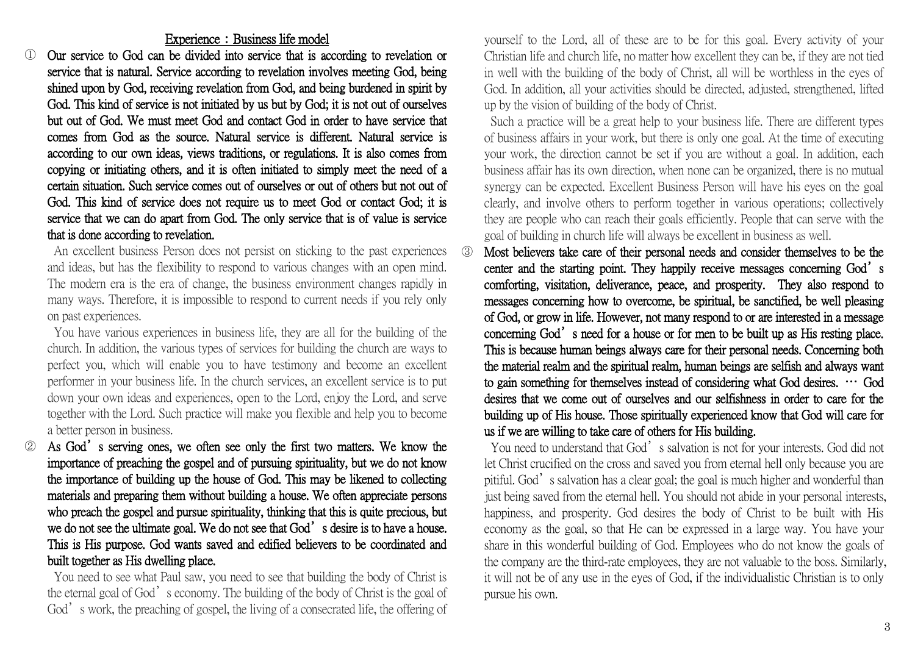## Experience: Business life model

① Our service to God can be divided into service that is according to revelation or service that is natural. Service according to revelation involves meeting God, being shined upon by God, receiving revelation from God, and being burdened in spirit by God. This kind of service is not initiated by us but by God; it is not out of ourselves but out of God. We must meet God and contact God in order to have service that comes from God as the source. Natural service is different. Natural service is according to our own ideas, views traditions, or regulations. It is also comes from copying or initiating others, and it is often initiated to simply meet the need of a certain situation. Such service comes out of ourselves or out of others but not out of God. This kind of service does not require us to meet God or contact God; it is service that we can do apart from God. The only service that is of value is service that is done according to revelation.

An excellent business Person does not persist on sticking to the past experiences and ideas, but has the flexibility to respond to various changes with an open mind. The modern era is the era of change, the business environment changes rapidly in many ways. Therefore, it is impossible to respond to current needs if you rely only on past experiences.

You have various experiences in business life, they are all for the building of the church. In addition, the various types of services for building the church are ways to perfect you, which will enable you to have testimony and become an excellent performer in your business life. In the church services, an excellent service is to put down your own ideas and experiences, open to the Lord, enjoy the Lord, and serve together with the Lord. Such practice will make you flexible and help you to become a better person in business.

As God's serving ones, we often see only the first two matters. We know the importance of preaching the gospel and of pursuing spirituality, but we do not know the importance of building up the house of God. This may be likened to collecting materials and preparing them without building a house. We often appreciate persons who preach the gospel and pursue spirituality, thinking that this is quite precious, but we do not see the ultimate goal. We do not see that God's desire is to have a house. This is His purpose. God wants saved and edified believers to be coordinated and built together as His dwelling place.

You need to see what Paul saw, you need to see that building the body of Christ is the eternal goal of God's economy. The building of the body of Christ is the goal of God's work, the preaching of gospel, the living of a consecrated life, the offering of

yourself to the Lord, all of these are to be for this goal. Every activity of your Christian life and church life, no matter how excellent they can be, if they are not tied in well with the building of the body of Christ, all will be worthless in the eyes of God. In addition, all your activities should be directed, adjusted, strengthened, lifted up by the vision of building of the body of Christ.

Such a practice will be a great help to your business life. There are different types of business affairs in your work, but there is only one goal. At the time of executing your work, the direction cannot be set if you are without a goal. In addition, each business affair has its own direction, when none can be organized, there is no mutual synergy can be expected. Excellent Business Person will have his eyes on the goal clearly, and involve others to perform together in various operations; collectively they are people who can reach their goals efficiently. People that can serve with the goal of building in church life will always be excellent in business as well.

③ Most believers take care of their personal needs and consider themselves to be the center and the starting point. They happily receive messages concerning God's comforting, visitation, deliverance, peace, and prosperity. They also respond to messages concerning how to overcome, be spiritual, be sanctified, be well pleasing of God, or grow in life. However, not many respond to or are interested in a message concerning God's need for a house or for men to be built up as His resting place. This is because human beings always care for their personal needs. Concerning both the material realm and the spiritual realm, human beings are selfish and always want to gain something for themselves instead of considering what God desires. … God desires that we come out of ourselves and our selfishness in order to care for the building up of His house. Those spiritually experienced know that God will care for us if we are willing to take care of others for His building.

You need to understand that God's salvation is not for your interests. God did not let Christ crucified on the cross and saved you from eternal hell only because you are pitiful. God's salvation has a clear goal; the goal is much higher and wonderful than just being saved from the eternal hell. You should not abide in your personal interests, happiness, and prosperity. God desires the body of Christ to be built with His economy as the goal, so that He can be expressed in a large way. You have your share in this wonderful building of God. Employees who do not know the goals of the company are the third-rate employees, they are not valuable to the boss. Similarly, it will not be of any use in the eyes of God, if the individualistic Christian is to only pursue his own.